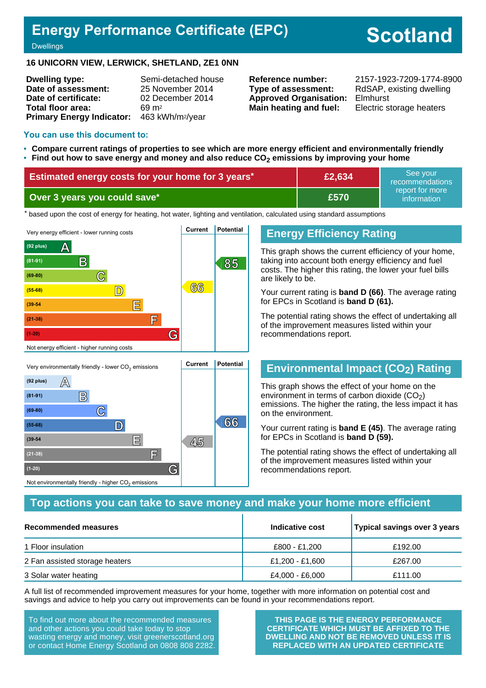## **Energy Performance Certificate (EPC)**

# **Scotland**

**Dwellings** 

#### **16 UNICORN VIEW, LERWICK, SHETLAND, ZE1 0NN**

| <b>Dwelling type:</b>                                  | Semi-detached house |
|--------------------------------------------------------|---------------------|
| Date of assessment:                                    | 25 November 2014    |
| Date of certificate:                                   | 02 December 2014    |
| Total floor area:                                      | $69 \text{ m}^2$    |
| Primary Energy Indicator: 463 kWh/m <sup>2</sup> /year |                     |

**Type of assessment:** RdSAP, existing dwelling **Approved Organisation:** Elmhurst **Main heating and fuel:** Electric storage heaters

**Reference number:** 2157-1923-7209-1774-8900

#### **You can use this document to:**

- **Compare current ratings of properties to see which are more energy efficient and environmentally friendly**
- **Find out how to save energy and money and also reduce CO2 emissions by improving your home**

| <b>Estimated energy costs for your home for 3 years*</b> | £2,634  | See vour<br>recommendations    |
|----------------------------------------------------------|---------|--------------------------------|
| Over 3 years you could save*                             | / £570. | report for more<br>information |

the based upon the cost of energy for heating, hot water, lighting and ventilation, calculated using standard assumptions



#### **Energy Efficiency Rating**

This graph shows the current efficiency of your home, taking into account both energy efficiency and fuel costs. The higher this rating, the lower your fuel bills are likely to be.

Your current rating is **band D (66)**. The average rating for EPCs in Scotland is **band D (61).**

The potential rating shows the effect of undertaking all of the improvement measures listed within your recommendations report.

## **Environmental Impact (CO2) Rating**

This graph shows the effect of your home on the environment in terms of carbon dioxide  $(CO<sub>2</sub>)$ emissions. The higher the rating, the less impact it has on the environment.

Your current rating is **band E (45)**. The average rating for EPCs in Scotland is **band D (59).**

The potential rating shows the effect of undertaking all of the improvement measures listed within your recommendations report.

#### **Top actions you can take to save money and make your home more efficient**

| Recommended measures           | Indicative cost | Typical savings over 3 years |
|--------------------------------|-----------------|------------------------------|
| 1 Floor insulation             | £800 - £1,200   | £192.00                      |
| 2 Fan assisted storage heaters | £1,200 - £1,600 | £267.00                      |
| 3 Solar water heating          | £4,000 - £6,000 | £111.00                      |

A full list of recommended improvement measures for your home, together with more information on potential cost and savings and advice to help you carry out improvements can be found in your recommendations report.

To find out more about the recommended measures and other actions you could take today to stop wasting energy and money, visit greenerscotland.org or contact Home Energy Scotland on 0808 808 2282.

**E 45 (39-54**

**(21-38) F**

Not environmentally friendly - higher  $\mathrm{CO}_2$  emissions

**(1-20) G**

**THIS PAGE IS THE ENERGY PERFORMANCE CERTIFICATE WHICH MUST BE AFFIXED TO THE DWELLING AND NOT BE REMOVED UNLESS IT IS REPLACED WITH AN UPDATED CERTIFICATE**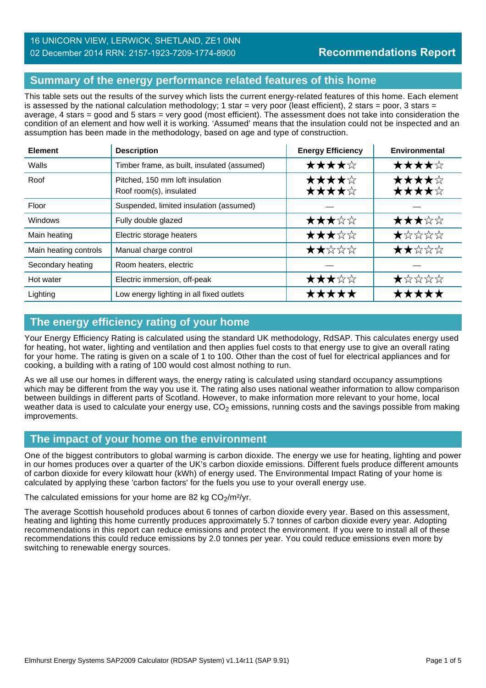## **Summary of the energy performance related features of this home**

This table sets out the results of the survey which lists the current energy-related features of this home. Each element is assessed by the national calculation methodology; 1 star = very poor (least efficient), 2 stars = poor, 3 stars = average, 4 stars = good and 5 stars = very good (most efficient). The assessment does not take into consideration the condition of an element and how well it is working. 'Assumed' means that the insulation could not be inspected and an assumption has been made in the methodology, based on age and type of construction.

| <b>Element</b>        | <b>Description</b>                                         | <b>Energy Efficiency</b> | Environmental  |
|-----------------------|------------------------------------------------------------|--------------------------|----------------|
| Walls                 | Timber frame, as built, insulated (assumed)                | ★★★★☆                    | ★★★★☆          |
| Roof                  | Pitched, 150 mm loft insulation<br>Roof room(s), insulated | ★★★★☆<br>★★★★☆           | ★★★★☆<br>★★★★☆ |
| Floor                 | Suspended, limited insulation (assumed)                    |                          |                |
| Windows               | Fully double glazed                                        | ★★★☆☆                    | ★★★☆☆          |
| Main heating          | Electric storage heaters                                   | ★★★☆☆                    | *****          |
| Main heating controls | Manual charge control                                      | ★★☆☆☆                    | ★★☆☆☆          |
| Secondary heating     | Room heaters, electric                                     |                          |                |
| Hot water             | Electric immersion, off-peak                               | ★★★☆☆                    | ★☆☆☆☆          |
| Lighting              | Low energy lighting in all fixed outlets                   | *****                    | *****          |

#### **The energy efficiency rating of your home**

Your Energy Efficiency Rating is calculated using the standard UK methodology, RdSAP. This calculates energy used for heating, hot water, lighting and ventilation and then applies fuel costs to that energy use to give an overall rating for your home. The rating is given on a scale of 1 to 100. Other than the cost of fuel for electrical appliances and for cooking, a building with a rating of 100 would cost almost nothing to run.

As we all use our homes in different ways, the energy rating is calculated using standard occupancy assumptions which may be different from the way you use it. The rating also uses national weather information to allow comparison between buildings in different parts of Scotland. However, to make information more relevant to your home, local weather data is used to calculate your energy use,  $CO<sub>2</sub>$  emissions, running costs and the savings possible from making improvements.

## **The impact of your home on the environment**

One of the biggest contributors to global warming is carbon dioxide. The energy we use for heating, lighting and power in our homes produces over a quarter of the UK's carbon dioxide emissions. Different fuels produce different amounts of carbon dioxide for every kilowatt hour (kWh) of energy used. The Environmental Impact Rating of your home is calculated by applying these 'carbon factors' for the fuels you use to your overall energy use.

The calculated emissions for your home are 82 kg  $CO<sub>2</sub>/m<sup>2</sup>/yr$ .

The average Scottish household produces about 6 tonnes of carbon dioxide every year. Based on this assessment, heating and lighting this home currently produces approximately 5.7 tonnes of carbon dioxide every year. Adopting recommendations in this report can reduce emissions and protect the environment. If you were to install all of these recommendations this could reduce emissions by 2.0 tonnes per year. You could reduce emissions even more by switching to renewable energy sources.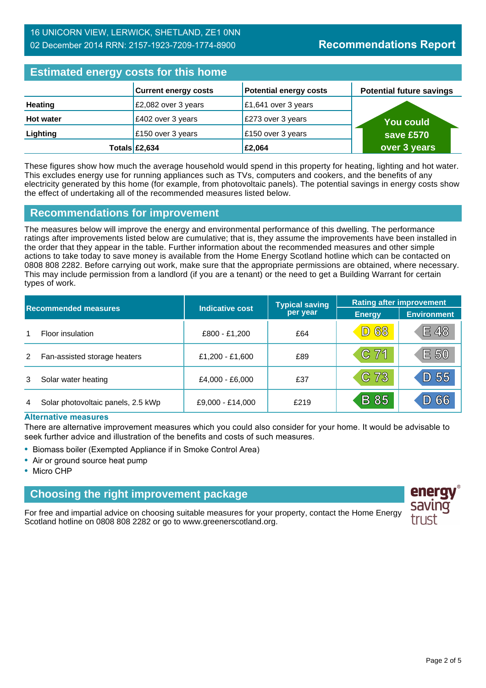#### 16 UNICORN VIEW, LERWICK, SHETLAND, ZE1 0NN 02 December 2014 RRN: 2157-1923-7209-1774-8900

## **Estimated energy costs for this home**

| <b>ESUTING CITE OF STORY COOLS TOT LITTS HOTHLE</b> |                             |                               |                                 |  |
|-----------------------------------------------------|-----------------------------|-------------------------------|---------------------------------|--|
|                                                     | <b>Current energy costs</b> | <b>Potential energy costs</b> | <b>Potential future savings</b> |  |
| <b>Heating</b>                                      | £2,082 over 3 years         | £1,641 over 3 years           |                                 |  |
| <b>Hot water</b>                                    | £402 over 3 years           | £273 over 3 years             | <b>You could</b>                |  |
| Lighting                                            | £150 over 3 years           | £150 over 3 years             | save £570                       |  |
|                                                     | Totals $\mathsf{E2},634$    | £2,064                        | over 3 years                    |  |

These figures show how much the average household would spend in this property for heating, lighting and hot water. This excludes energy use for running appliances such as TVs, computers and cookers, and the benefits of any electricity generated by this home (for example, from photovoltaic panels). The potential savings in energy costs show the effect of undertaking all of the recommended measures listed below.

#### **Recommendations for improvement**

The measures below will improve the energy and environmental performance of this dwelling. The performance ratings after improvements listed below are cumulative; that is, they assume the improvements have been installed in the order that they appear in the table. Further information about the recommended measures and other simple actions to take today to save money is available from the Home Energy Scotland hotline which can be contacted on 0808 808 2282. Before carrying out work, make sure that the appropriate permissions are obtained, where necessary. This may include permission from a landlord (if you are a tenant) or the need to get a Building Warrant for certain types of work.

|   |                                    |                        | <b>Typical saving</b> | <b>Rating after improvement</b> |                    |
|---|------------------------------------|------------------------|-----------------------|---------------------------------|--------------------|
|   | <b>Recommended measures</b>        | <b>Indicative cost</b> | per year              | <b>Energy</b>                   | <b>Environment</b> |
|   | Floor insulation                   | £800 - £1,200          | £64                   | <b>D 68</b>                     | E 48               |
| 2 | Fan-assisted storage heaters       | £1,200 - £1,600        | £89                   | $C$ 71                          | E 50               |
| 3 | Solar water heating                | £4,000 - £6,000        | £37                   | C 73                            | D 55               |
| 4 | Solar photovoltaic panels, 2.5 kWp | £9,000 - £14,000       | £219                  | <b>B</b> 85                     | 66                 |

#### **Alternative measures**

There are alternative improvement measures which you could also consider for your home. It would be advisable to seek further advice and illustration of the benefits and costs of such measures.

- Biomass boiler (Exempted Appliance if in Smoke Control Area)
- Air or ground source heat pump
- Micro CHP

## **Choosing the right improvement package**

For free and impartial advice on choosing suitable measures for your property, contact the Home Energy Scotland hotline on 0808 808 2282 or go to www.greenerscotland.org.

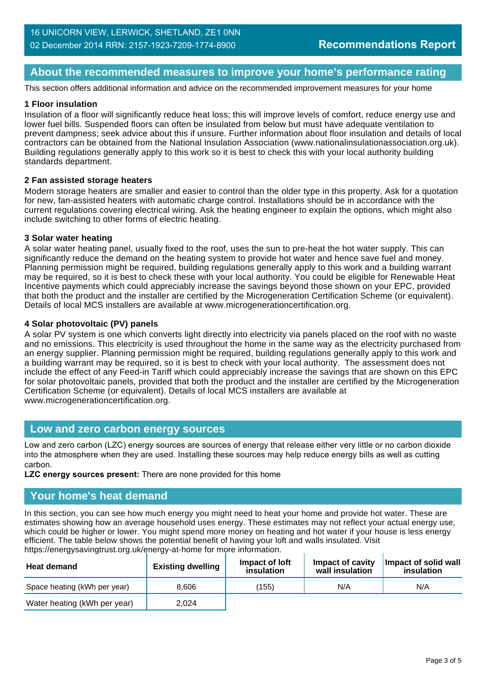## **About the recommended measures to improve your home's performance rating**

This section offers additional information and advice on the recommended improvement measures for your home

#### **1 Floor insulation**

Insulation of a floor will significantly reduce heat loss; this will improve levels of comfort, reduce energy use and lower fuel bills. Suspended floors can often be insulated from below but must have adequate ventilation to prevent dampness; seek advice about this if unsure. Further information about floor insulation and details of local contractors can be obtained from the National Insulation Association (www.nationalinsulationassociation.org.uk). Building regulations generally apply to this work so it is best to check this with your local authority building standards department.

#### **2 Fan assisted storage heaters**

Modern storage heaters are smaller and easier to control than the older type in this property. Ask for a quotation for new, fan-assisted heaters with automatic charge control. Installations should be in accordance with the current regulations covering electrical wiring. Ask the heating engineer to explain the options, which might also include switching to other forms of electric heating.

#### **3 Solar water heating**

A solar water heating panel, usually fixed to the roof, uses the sun to pre-heat the hot water supply. This can significantly reduce the demand on the heating system to provide hot water and hence save fuel and money. Planning permission might be required, building regulations generally apply to this work and a building warrant may be required, so it is best to check these with your local authority. You could be eligible for Renewable Heat Incentive payments which could appreciably increase the savings beyond those shown on your EPC, provided that both the product and the installer are certified by the Microgeneration Certification Scheme (or equivalent). Details of local MCS installers are available at www.microgenerationcertification.org.

#### **4 Solar photovoltaic (PV) panels**

A solar PV system is one which converts light directly into electricity via panels placed on the roof with no waste and no emissions. This electricity is used throughout the home in the same way as the electricity purchased from an energy supplier. Planning permission might be required, building regulations generally apply to this work and a building warrant may be required, so it is best to check with your local authority. The assessment does not include the effect of any Feed-in Tariff which could appreciably increase the savings that are shown on this EPC for solar photovoltaic panels, provided that both the product and the installer are certified by the Microgeneration Certification Scheme (or equivalent). Details of local MCS installers are available at www.microgenerationcertification.org.

#### **Low and zero carbon energy sources**

Low and zero carbon (LZC) energy sources are sources of energy that release either very little or no carbon dioxide into the atmosphere when they are used. Installing these sources may help reduce energy bills as well as cutting carbon.

**LZC energy sources present:** There are none provided for this home

#### **Your home's heat demand**

In this section, you can see how much energy you might need to heat your home and provide hot water. These are estimates showing how an average household uses energy. These estimates may not reflect your actual energy use, which could be higher or lower. You might spend more money on heating and hot water if your house is less energy efficient. The table below shows the potential benefit of having your loft and walls insulated. Visit https://energysavingtrust.org.uk/energy-at-home for more information.

| <b>Heat demand</b>           | <b>Existing dwelling</b> | Impact of Joft<br>insulation | Impact of cavity<br>wall insulation | Impact of solid wall<br>insulation |
|------------------------------|--------------------------|------------------------------|-------------------------------------|------------------------------------|
| Space heating (kWh per year) | 8.606                    | (155)                        | N/A                                 | N/A                                |
| Water heating (kWh per year) | 2.024                    |                              |                                     |                                    |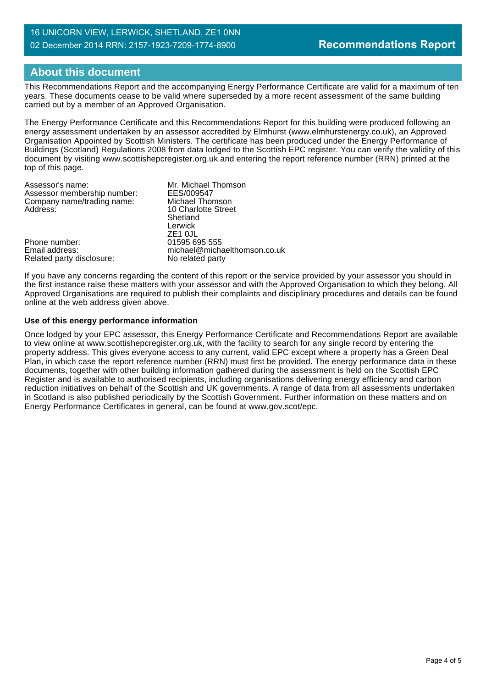#### 16 UNICORN VIEW, LERWICK, SHETLAND, ZE1 0NN 02 December 2014 RRN: 2157-1923-7209-1774-8900

## **About this document**

This Recommendations Report and the accompanying Energy Performance Certificate are valid for a maximum of ten years. These documents cease to be valid where superseded by a more recent assessment of the same building carried out by a member of an Approved Organisation.

The Energy Performance Certificate and this Recommendations Report for this building were produced following an energy assessment undertaken by an assessor accredited by Elmhurst (www.elmhurstenergy.co.uk), an Approved Organisation Appointed by Scottish Ministers. The certificate has been produced under the Energy Performance of Buildings (Scotland) Regulations 2008 from data lodged to the Scottish EPC register. You can verify the validity of this document by visiting www.scottishepcregister.org.uk and entering the report reference number (RRN) printed at the top of this page.

| Assessor's name:            | Mr. Michael Thomson          |
|-----------------------------|------------------------------|
| Assessor membership number: | EES/009547                   |
| Company name/trading name:  | Michael Thomson              |
| Address:                    | 10 Charlotte Street          |
|                             | Shetland                     |
|                             | Lerwick                      |
|                             | ZE <sub>1</sub> OJL          |
| Phone number:               | 01595 695 555                |
| Email address:              | michael@michaelthomson.co.uk |
| Related party disclosure:   | No related party             |
|                             |                              |

If you have any concerns regarding the content of this report or the service provided by your assessor you should in the first instance raise these matters with your assessor and with the Approved Organisation to which they belong. All Approved Organisations are required to publish their complaints and disciplinary procedures and details can be found online at the web address given above.

#### **Use of this energy performance information**

Once lodged by your EPC assessor, this Energy Performance Certificate and Recommendations Report are available to view online at www.scottishepcregister.org.uk, with the facility to search for any single record by entering the property address. This gives everyone access to any current, valid EPC except where a property has a Green Deal Plan, in which case the report reference number (RRN) must first be provided. The energy performance data in these documents, together with other building information gathered during the assessment is held on the Scottish EPC Register and is available to authorised recipients, including organisations delivering energy efficiency and carbon reduction initiatives on behalf of the Scottish and UK governments. A range of data from all assessments undertaken in Scotland is also published periodically by the Scottish Government. Further information on these matters and on Energy Performance Certificates in general, can be found at www.gov.scot/epc.